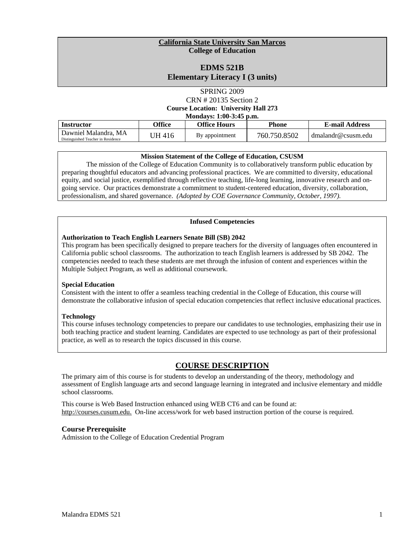#### **California State University San Marcos College of Education**

## **EDMS 521B Elementary Literacy I (3 units)**

SPRING 2009 CRN # 20135 Section 2 **Course Location: University Hall 273 Mondays: 1:00-3:45 p.m.**

| Mondays: 1:00-3:45 p.m.                                    |        |                |              |                       |
|------------------------------------------------------------|--------|----------------|--------------|-----------------------|
| <b>Instructor</b>                                          | Office | Office Hours   | Phone        | <b>E-mail Address</b> |
| Dawniel Malandra, MA<br>Distinguished Teacher in Residence | UH 416 | By appointment | 760.750.8502 | dmalandr@csusm.edu    |

## **Mission Statement of the College of Education, CSUSM**

 preparing thoughtful educators and advancing professional practices. We are committed to diversity, educational professionalism, and shared governance. *(Adopted by COE Governance Community, October, 1997).*  The mission of the College of Education Community is to collaboratively transform public education by equity, and social justice, exemplified through reflective teaching, life-long learning, innovative research and ongoing service. Our practices demonstrate a commitment to student-centered education, diversity, collaboration,

#### **Infused Competencies**

#### **Authorization to Teach English Learners Senate Bill (SB) 2042**

This program has been specifically designed to prepare teachers for the diversity of languages often encountered in California public school classrooms. The authorization to teach English learners is addressed by SB 2042. The competencies needed to teach these students are met through the infusion of content and experiences within the Multiple Subject Program, as well as additional coursework.

## **Special Education**

Consistent with the intent to offer a seamless teaching credential in the College of Education, this course will demonstrate the collaborative infusion of special education competencies that reflect inclusive educational practices.

## **Technology**

This course infuses technology competencies to prepare our candidates to use technologies, emphasizing their use in both teaching practice and student learning. Candidates are expected to use technology as part of their professional practice, as well as to research the topics discussed in this course.

## **COURSE DESCRIPTION**

The primary aim of this course is for students to develop an understanding of the theory, methodology and assessment of English language arts and second language learning in integrated and inclusive elementary and middle school classrooms.

This course is Web Based Instruction enhanced using WEB CT6 and can be found at: http://courses.cusum.edu. On-line access/work for web based instruction portion of the course is required.

## **Course Prerequisite**

Admission to the College of Education Credential Program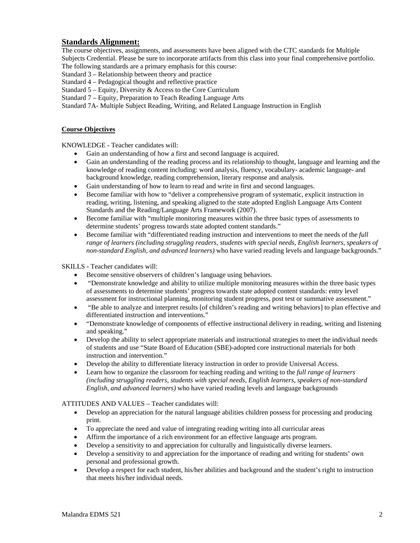## **Standards Alignment:**

The course objectives, assignments, and assessments have been aligned with the CTC standards for Multiple Subjects Credential. Please be sure to incorporate artifacts from this class into your final comprehensive portfolio. The following standards are a primary emphasis for this course:

Standard 3 – Relationship between theory and practice

Standard 4 – Pedagogical thought and reflective practice

Standard 5 – Equity, Diversity & Access to the Core Curriculum

Standard 7 – Equity, Preparation to Teach Reading Language Arts

Standard 7A- Multiple Subject Reading, Writing, and Related Language Instruction in English

#### **Course Objectives**

KNOWLEDGE - Teacher candidates will:

- • Gain an understanding of how a first and second language is acquired.
- Gain an understanding of the reading process and its relationship to thought, language and learning and the knowledge of reading content including: word analysis, fluency, vocabulary- academic language- and background knowledge, reading comprehension, literary response and analysis.
- Gain understanding of how to learn to read and write in first and second languages.
- • Become familiar with how to "deliver a comprehensive program of systematic, explicit instruction in reading, writing, listening, and speaking aligned to the state adopted English Language Arts Content Standards and the Reading/Language Arts Framework (2007).
- Become familiar with "multiple monitoring measures within the three basic types of assessments to determine students' progress towards state adopted content standards."
- *non-standard English, and advanced learners)* who have varied reading levels and language backgrounds." • Become familiar with "differentiated reading instruction and interventions to meet the needs of the *full range of learners (including struggling readers, students with special needs, English learners, speakers of*

SKILLS - Teacher candidates will:

- Become sensitive observers of children's language using behaviors.
- "Demonstrate knowledge and ability to utilize multiple monitoring measures within the three basic types of assessments to determine students' progress towards state adopted content standards: entry level assessment for instructional planning, monitoring student progress, post test or summative assessment."
- "Be able to analyze and interpret results [of children's reading and writing behaviors] to plan effective and differentiated instruction and interventions."
- • "Demonstrate knowledge of components of effective instructional delivery in reading, writing and listening and speaking."
- Develop the ability to select appropriate materials and instructional strategies to meet the individual needs of students and use "State Board of Education (SBE)-adopted core instructional materials for both instruction and intervention."
- Develop the ability to differentiate literacy instruction in order to provide Universal Access.
- Learn how to organize the classroom for teaching reading and writing to the *full range of learners (including struggling readers, students with special needs, English learners, speakers of non-standard English, and advanced learners)* who have varied reading levels and language backgrounds

#### ATTITUDES AND VALUES – Teacher candidates will:

- Develop an appreciation for the natural language abilities children possess for processing and producing print.
- • To appreciate the need and value of integrating reading writing into all curricular areas
- • Affirm the importance of a rich environment for an effective language arts program.
- Develop a sensitivity to and appreciation for culturally and linguistically diverse learners.
- Develop a sensitivity to and appreciation for the importance of reading and writing for students' own personal and professional growth.
- Develop a respect for each student, his/her abilities and background and the student's right to instruction that meets his/her individual needs.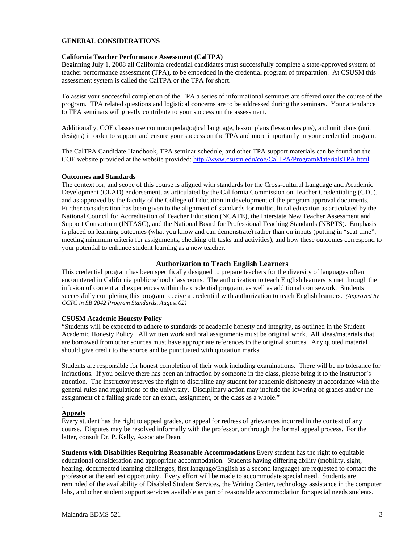#### **GENERAL CONSIDERATIONS**

## **California Teacher Performance Assessment (CalTPA)**

 Beginning July 1, 2008 all California credential candidates must successfully complete a state-approved system of teacher performance assessment (TPA), to be embedded in the credential program of preparation. At CSUSM this assessment system is called the CalTPA or the TPA for short.

To assist your successful completion of the TPA a series of informational seminars are offered over the course of the program. TPA related questions and logistical concerns are to be addressed during the seminars. Your attendance to TPA seminars will greatly contribute to your success on the assessment.

 Additionally, COE classes use common pedagogical language, lesson plans (lesson designs), and unit plans (unit designs) in order to support and ensure your success on the TPA and more importantly in your credential program.

COE website provided at the website provided: http://www.csusm.edu/coe/CalTPA/ProgramMaterialsTPA.html The CalTPA Candidate Handbook, TPA seminar schedule, and other TPA support materials can be found on the

#### **Outcomes and Standards**

The context for, and scope of this course is aligned with standards for the Cross-cultural Language and Academic Development (CLAD) endorsement, as articulated by the California Commission on Teacher Credentialing (CTC), and as approved by the faculty of the College of Education in development of the program approval documents. Further consideration has been given to the alignment of standards for multicultural education as articulated by the National Council for Accreditation of Teacher Education (NCATE), the Interstate New Teacher Assessment and Support Consortium (INTASC), and the National Board for Professional Teaching Standards (NBPTS). Emphasis is placed on learning outcomes (what you know and can demonstrate) rather than on inputs (putting in "seat time", meeting minimum criteria for assignments, checking off tasks and activities), and how these outcomes correspond to your potential to enhance student learning as a new teacher.

## **Authorization to Teach English Learners**

This credential program has been specifically designed to prepare teachers for the diversity of languages often encountered in California public school classrooms. The authorization to teach English learners is met through the infusion of content and experiences within the credential program, as well as additional coursework. Students successfully completing this program receive a credential with authorization to teach English learners. *(Approved by CCTC in SB 2042 Program Standards, August 02)* 

#### **CSUSM Academic Honesty Policy**

 Academic Honesty Policy. All written work and oral assignments must be original work. All ideas/materials that "Students will be expected to adhere to standards of academic honesty and integrity, as outlined in the Student are borrowed from other sources must have appropriate references to the original sources. Any quoted material should give credit to the source and be punctuated with quotation marks.

 general rules and regulations of the university. Disciplinary action may include the lowering of grades and/or the Students are responsible for honest completion of their work including examinations. There will be no tolerance for infractions. If you believe there has been an infraction by someone in the class, please bring it to the instructor's attention. The instructor reserves the right to discipline any student for academic dishonesty in accordance with the assignment of a failing grade for an exam, assignment, or the class as a whole."

#### . **Appeals**

Every student has the right to appeal grades, or appeal for redress of grievances incurred in the context of any course. Disputes may be resolved informally with the professor, or through the formal appeal process. For the latter, consult Dr. P. Kelly, Associate Dean.

 labs, and other student support services available as part of reasonable accommodation for special needs students. **Students with Disabilities Requiring Reasonable Accommodations** Every student has the right to equitable educational consideration and appropriate accommodation. Students having differing ability (mobility, sight, hearing, documented learning challenges, first language/English as a second language) are requested to contact the professor at the earliest opportunity. Every effort will be made to accommodate special need. Students are reminded of the availability of Disabled Student Services, the Writing Center, technology assistance in the computer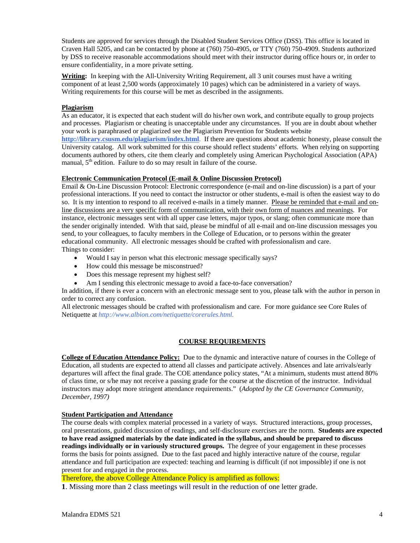Craven Hall 5205, and can be contacted by phone at (760) 750-4905, or TTY (760) 750-4909. Students authorized ensure confidentiality, in a more private setting. Students are approved for services through the Disabled Student Services Office (DSS). This office is located in by DSS to receive reasonable accommodations should meet with their instructor during office hours or, in order to

**Writing:** In keeping with the All-University Writing Requirement, all 3 unit courses must have a writing component of at least 2,500 words (approximately 10 pages) which can be administered in a variety of ways. Writing requirements for this course will be met as described in the assignments.

## **Plagiarism**

 University catalog. All work submitted for this course should reflect students' efforts. When relying on supporting manual, 5<sup>th</sup> edition. Failure to do so may result in failure of the course. As an educator, it is expected that each student will do his/her own work, and contribute equally to group projects and processes. Plagiarism or cheating is unacceptable under any circumstances. If you are in doubt about whether your work is paraphrased or plagiarized see the Plagiarism Prevention for Students website **http://library.csusm.edu/plagiarism/index.html**. If there are questions about academic honesty, please consult the documents authored by others, cite them clearly and completely using American Psychological Association (APA)

## **Electronic Communication Protocol (E-mail & Online Discussion Protocol)**

Email & On-Line Discussion Protocol: Electronic correspondence (e-mail and on-line discussion) is a part of your professional interactions. If you need to contact the instructor or other students, e-mail is often the easiest way to do so. It is my intention to respond to all received e-mails in a timely manner. Please be reminded that e-mail and online discussions are a very specific form of communication, with their own form of nuances and meanings. For instance, electronic messages sent with all upper case letters, major typos, or slang; often communicate more than the sender originally intended. With that said, please be mindful of all e-mail and on-line discussion messages you send, to your colleagues, to faculty members in the College of Education, or to persons within the greater educational community. All electronic messages should be crafted with professionalism and care. Things to consider:

- Would I say in person what this electronic message specifically says?
- How could this message be misconstrued?
- Does this message represent my highest self?
- Am I sending this electronic message to avoid a face-to-face conversation?

In addition, if there is ever a concern with an electronic message sent to you, please talk with the author in person in order to correct any confusion.

All electronic messages should be crafted with professionalism and care. For more guidance see Core Rules of Netiquette at *http://www.albion.com/netiquette/corerules.html.* 

## **COURSE REQUIREMENTS**

 **College of Education Attendance Policy:** Due to the dynamic and interactive nature of courses in the College of Education, all students are expected to attend all classes and participate actively. Absences and late arrivals/early departures will affect the final grade. The COE attendance policy states, "At a minimum, students must attend 80% of class time, or s/he may not receive a passing grade for the course at the discretion of the instructor. Individual instructors may adopt more stringent attendance requirements." (*Adopted by the CE Governance Community, December, 1997)* 

## **Student Participation and Attendance**

 The course deals with complex material processed in a variety of ways. Structured interactions, group processes, forms the basis for points assigned. Due to the fast paced and highly interactive nature of the course, regular oral presentations, guided discussion of readings, and self-disclosure exercises are the norm. **Students are expected to have read assigned materials by the date indicated in the syllabus, and should be prepared to discuss readings individually or in variously structured groups.** The degree of your engagement in these processes attendance and full participation are expected: teaching and learning is difficult (if not impossible) if one is not present for and engaged in the process.

Therefore, the above College Attendance Policy is amplified as follows:

**1**. Missing more than 2 class meetings will result in the reduction of one letter grade.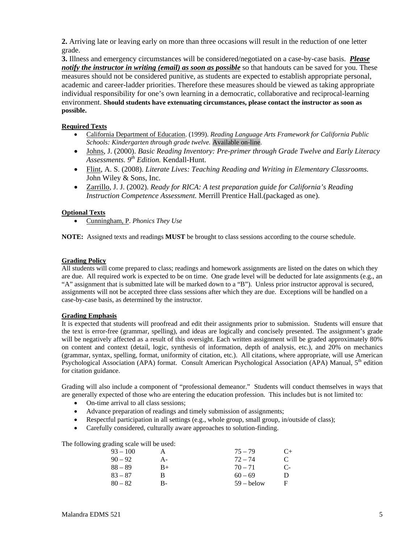**2.** Arriving late or leaving early on more than three occasions will result in the reduction of one letter grade.

**3.** Illness and emergency circumstances will be considered/negotiated on a case-by-case basis. *Please notify the instructor in writing (email) as soon as possible* so that handouts can be saved for you. These measures should not be considered punitive, as students are expected to establish appropriate personal, academic and career-ladder priorities. Therefore these measures should be viewed as taking appropriate individual responsibility for one's own learning in a democratic, collaborative and reciprocal-learning environment. **Should students have extenuating circumstances, please contact the instructor as soon as possible.** 

## **Required Texts**

- • California Department of Education. (1999). *Reading Language Arts Framework for California Public Schools: Kindergarten through grade twelve.* Available on-line.
- • Johns, J. (2000). *Basic Reading Inventory: Pre-primer through Grade Twelve and Early Literacy Assessments. 9th Edition.* Kendall-Hunt.
- • Flint, A. S. (2008). *Literate Lives: Teaching Reading and Writing in Elementary Classrooms.*  John Wiley & Sons, Inc.
- • Zarrillo, J. J. (2002). *Ready for RICA: A test preparation guide for California's Reading Instruction Competence Assessment.* Merrill Prentice Hall.(packaged as one).

## **Optional Texts**

• Cunningham, P. *Phonics They Use* 

**NOTE:** Assigned texts and readings **MUST** be brought to class sessions according to the course schedule.

## **Grading Policy**

All students will come prepared to class; readings and homework assignments are listed on the dates on which they are due. All required work is expected to be on time. One grade level will be deducted for late assignments (e.g., an "A" assignment that is submitted late will be marked down to a "B"). Unless prior instructor approval is secured, assignments will not be accepted three class sessions after which they are due. Exceptions will be handled on a case-by-case basis, as determined by the instructor.

## **Grading Emphasis**

It is expected that students will proofread and edit their assignments prior to submission. Students will ensure that the text is error-free (grammar, spelling), and ideas are logically and concisely presented. The assignment's grade will be negatively affected as a result of this oversight. Each written assignment will be graded approximately 80% on content and context (detail, logic, synthesis of information, depth of analysis, etc.), and 20% on mechanics (grammar, syntax, spelling, format, uniformity of citation, etc.). All citations, where appropriate, will use American Psychological Association (APA) format. Consult American Psychological Association (APA) Manual, 5<sup>th</sup> edition for citation guidance.

Grading will also include a component of "professional demeanor." Students will conduct themselves in ways that are generally expected of those who are entering the education profession. This includes but is not limited to:

- On-time arrival to all class sessions;
- Advance preparation of readings and timely submission of assignments;
- Respectful participation in all settings (e.g., whole group, small group, in/outside of class);
- Carefully considered, culturally aware approaches to solution-finding.

The following grading scale will be used:

| $93 - 100$ | A  | $75 - 79$    | $C_{\pm}$ |
|------------|----|--------------|-----------|
| $90 - 92$  | А- | $72 - 74$    | C         |
| 88 – 89    | B+ | $70 - 71$    | $C-$      |
| $83 - 87$  | В  | $60 - 69$    | D         |
| $80-82$    | В- | $59 -$ below | F         |
|            |    |              |           |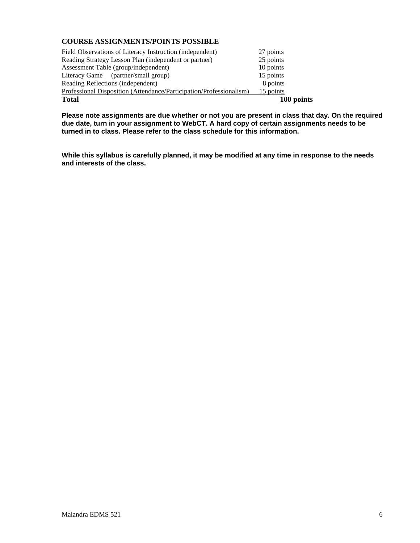## **COURSE ASSIGNMENTS/POINTS POSSIBLE**

| Field Observations of Literacy Instruction (independent)            | 27 points  |
|---------------------------------------------------------------------|------------|
| Reading Strategy Lesson Plan (independent or partner)               | 25 points  |
| Assessment Table (group/independent)                                | 10 points  |
| Literacy Game (partner/small group)                                 | 15 points  |
| Reading Reflections (independent)                                   | 8 points   |
| Professional Disposition (Attendance/Participation/Professionalism) | 15 points  |
| <b>Total</b>                                                        | 100 points |

**Please note assignments are due whether or not you are present in class that day. On the required due date, turn in your assignment to WebCT. A hard copy of certain assignments needs to be turned in to class. Please refer to the class schedule for this information.** 

**While this syllabus is carefully planned, it may be modified at any time in response to the needs and interests of the class.**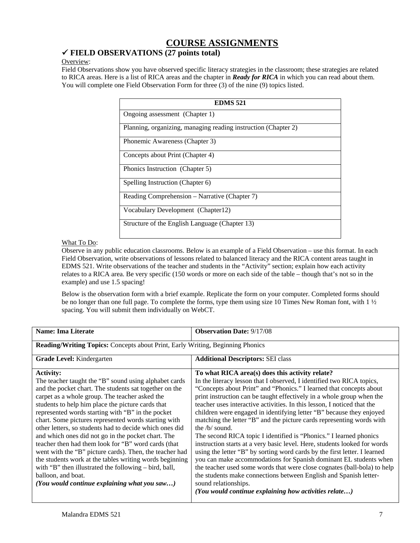# **COURSE ASSIGNMENTS**

## 9 **FIELD OBSERVATIONS (27 points total)**

## Overview:

Field Observations show you have observed specific literacy strategies in the classroom; these strategies are related to RICA areas. Here is a list of RICA areas and the chapter in *Ready for RICA* in which you can read about them. You will complete one Field Observation Form for three (3) of the nine (9) topics listed.

| <b>EDMS 521</b>                                                |
|----------------------------------------------------------------|
| Ongoing assessment (Chapter 1)                                 |
| Planning, organizing, managing reading instruction (Chapter 2) |
| Phonemic Awareness (Chapter 3)                                 |
| Concepts about Print (Chapter 4)                               |
| Phonics Instruction (Chapter 5)                                |
| Spelling Instruction (Chapter 6)                               |
| Reading Comprehension – Narrative (Chapter 7)                  |
| Vocabulary Development (Chapter12)                             |
| Structure of the English Language (Chapter 13)                 |

## What To Do:

Observe in any public education classrooms. Below is an example of a Field Observation – use this format. In each Field Observation, write observations of lessons related to balanced literacy and the RICA content areas taught in EDMS 521. Write observations of the teacher and students in the "Activity" section; explain how each activity relates to a RICA area. Be very specific (150 words or more on each side of the table – though that's not so in the example) and use 1.5 spacing!

Below is the observation form with a brief example. Replicate the form on your computer. Completed forms should be no longer than one full page. To complete the forms, type them using size 10 Times New Roman font, with 1 ½ spacing. You will submit them individually on WebCT.

| <b>Name: Ima Literate</b>                                                                                                                                                                                                                                                                                                                                                                                                                                                                                                                                                                  | <b>Observation Date: 9/17/08</b>                                                                                                                                                                                                                                                                                                                                                                                                                                                                                                                                                                                                                                                                                                                         |  |  |
|--------------------------------------------------------------------------------------------------------------------------------------------------------------------------------------------------------------------------------------------------------------------------------------------------------------------------------------------------------------------------------------------------------------------------------------------------------------------------------------------------------------------------------------------------------------------------------------------|----------------------------------------------------------------------------------------------------------------------------------------------------------------------------------------------------------------------------------------------------------------------------------------------------------------------------------------------------------------------------------------------------------------------------------------------------------------------------------------------------------------------------------------------------------------------------------------------------------------------------------------------------------------------------------------------------------------------------------------------------------|--|--|
| <b>Reading/Writing Topics:</b> Concepts about Print, Early Writing, Beginning Phonics                                                                                                                                                                                                                                                                                                                                                                                                                                                                                                      |                                                                                                                                                                                                                                                                                                                                                                                                                                                                                                                                                                                                                                                                                                                                                          |  |  |
| <b>Grade Level:</b> Kindergarten                                                                                                                                                                                                                                                                                                                                                                                                                                                                                                                                                           | <b>Additional Descriptors: SEI class</b>                                                                                                                                                                                                                                                                                                                                                                                                                                                                                                                                                                                                                                                                                                                 |  |  |
| <b>Activity:</b><br>The teacher taught the "B" sound using alphabet cards<br>and the pocket chart. The students sat together on the<br>carpet as a whole group. The teacher asked the<br>students to help him place the picture cards that<br>represented words starting with "B" in the pocket<br>chart. Some pictures represented words starting with<br>other letters, so students had to decide which ones did<br>and which ones did not go in the pocket chart. The<br>teacher then had them look for "B" word cards (that<br>went with the "B" picture cards). Then, the teacher had | To what RICA area(s) does this activity relate?<br>In the literacy lesson that I observed, I identified two RICA topics,<br>"Concepts about Print" and "Phonics." I learned that concepts about<br>print instruction can be taught effectively in a whole group when the<br>teacher uses interactive activities. In this lesson, I noticed that the<br>children were engaged in identifying letter "B" because they enjoyed<br>matching the letter "B" and the picture cards representing words with<br>the $/b/$ sound.<br>The second RICA topic I identified is "Phonics." I learned phonics<br>instruction starts at a very basic level. Here, students looked for words<br>using the letter "B" by sorting word cards by the first letter. I learned |  |  |
| the students work at the tables writing words beginning<br>with "B" then illustrated the following – bird, ball,<br>balloon, and boat.                                                                                                                                                                                                                                                                                                                                                                                                                                                     | you can make accommodations for Spanish dominant EL students when<br>the teacher used some words that were close cognates (ball-bola) to help<br>the students make connections between English and Spanish letter-                                                                                                                                                                                                                                                                                                                                                                                                                                                                                                                                       |  |  |
| (You would continue explaining what you saw)                                                                                                                                                                                                                                                                                                                                                                                                                                                                                                                                               | sound relationships.<br>(You would continue explaining how activities relate)                                                                                                                                                                                                                                                                                                                                                                                                                                                                                                                                                                                                                                                                            |  |  |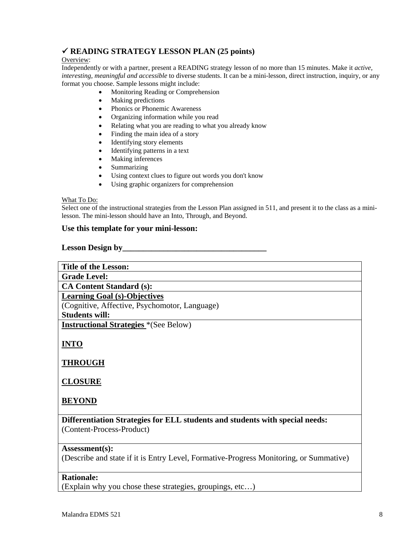## 9 **READING STRATEGY LESSON PLAN (25 points)**

## Overview:

Independently or with a partner, present a READING strategy lesson of no more than 15 minutes. Make it *active, interesting, meaningful and accessible* to diverse students. It can be a mini-lesson, direct instruction, inquiry, or any format you choose. Sample lessons might include:

- Monitoring Reading or Comprehension
- Making predictions
- Phonics or Phonemic Awareness
- Organizing information while you read
- Relating what you are reading to what you already know
- Finding the main idea of a story
- Identifying story elements
- Identifying patterns in a text
- Making inferences
- Summarizing
- Using context clues to figure out words you don't know
- Using graphic organizers for comprehension

#### What To Do:

Select one of the instructional strategies from the Lesson Plan assigned in 511, and present it to the class as a minilesson. The mini-lesson should have an Into, Through, and Beyond.

## **Use this template for your mini-lesson:**

#### **Lesson Design by\_\_\_\_\_\_\_\_\_\_\_\_\_\_\_\_\_\_\_\_\_\_\_\_\_\_\_\_\_\_\_\_\_\_\_**

| <b>Title of the Lesson:</b>                                                            |
|----------------------------------------------------------------------------------------|
| <b>Grade Level:</b>                                                                    |
| <b>CA Content Standard (s):</b>                                                        |
| <b>Learning Goal (s)-Objectives</b>                                                    |
| (Cognitive, Affective, Psychomotor, Language)                                          |
| <b>Students will:</b>                                                                  |
| <b>Instructional Strategies</b> *(See Below)                                           |
|                                                                                        |
| <b>INTO</b>                                                                            |
|                                                                                        |
| <b>THROUGH</b>                                                                         |
|                                                                                        |
| <b>CLOSURE</b>                                                                         |
|                                                                                        |
| <b>BEYOND</b>                                                                          |
|                                                                                        |
| Differentiation Strategies for ELL students and students with special needs:           |
| (Content-Process-Product)                                                              |
|                                                                                        |
| Assessment(s):                                                                         |
| (Describe and state if it is Entry Level, Formative-Progress Monitoring, or Summative) |
| <b>Rationale:</b>                                                                      |

(Explain why you chose these strategies, groupings, etc…)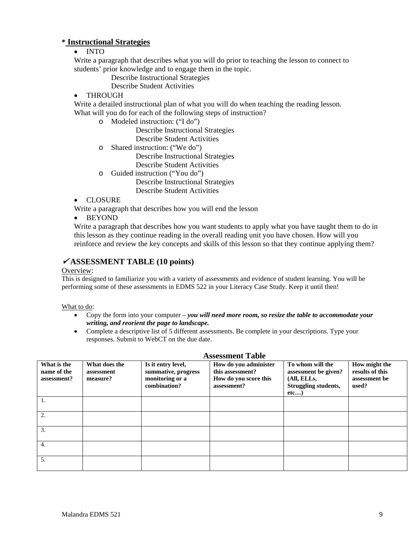## **\* Instructional Strategies**

## • INTO

Write a paragraph that describes what you will do prior to teaching the lesson to connect to students' prior knowledge and to engage them in the topic.

- Describe Instructional Strategies
- Describe Student Activities
- THROUGH

Write a detailed instructional plan of what you will do when teaching the reading lesson. What will you do for each of the following steps of instruction?

o Modeled instruction: ("I do")

Describe Instructional Strategies Describe Student Activities

o Shared instruction: ("We do")

Describe Instructional Strategies

- Describe Student Activities
- o Guided instruction ("You do")

Describe Instructional Strategies Describe Student Activities

• CLOSURE

Write a paragraph that describes how you will end the lesson

• BEYOND

Write a paragraph that describes how you want students to apply what you have taught them to do in this lesson as they continue reading in the overall reading unit you have chosen. How will you reinforce and review the key concepts and skills of this lesson so that they continue applying them?

## <sup>9</sup> **ASSESSMENT TABLE (10 points)**

Overview:

This is designed to familiarize you with a variety of assessments and evidence of student learning. You will be performing some of these assessments in EDMS 522 in your Literacy Case Study. Keep it until then!

## What to do:

- Copy the form into your computer *you will need more room, so resize the table to accommodate your writing, and reorient the page to landscape.*
- Complete a descriptive list of 5 different assessments. Be complete in your descriptions. Type your responses. Submit to WebCT on the due date.

| <b>Assessment Table</b>                   |                                         |                                                                              |                                                                                   |                                                                                        |                                                            |
|-------------------------------------------|-----------------------------------------|------------------------------------------------------------------------------|-----------------------------------------------------------------------------------|----------------------------------------------------------------------------------------|------------------------------------------------------------|
| What is the<br>name of the<br>assessment? | What does the<br>assessment<br>measure? | Is it entry level,<br>summative, progress<br>monitoring or a<br>combination? | How do you administer<br>this assessment?<br>How do you score this<br>assessment? | To whom will the<br>assessment be given?<br>(All, ELLs,<br>Struggling students,<br>etc | How might the<br>results of this<br>assessment be<br>used? |
| 1.                                        |                                         |                                                                              |                                                                                   |                                                                                        |                                                            |
| 2.                                        |                                         |                                                                              |                                                                                   |                                                                                        |                                                            |
| 3.                                        |                                         |                                                                              |                                                                                   |                                                                                        |                                                            |
| 4.                                        |                                         |                                                                              |                                                                                   |                                                                                        |                                                            |
| 5.                                        |                                         |                                                                              |                                                                                   |                                                                                        |                                                            |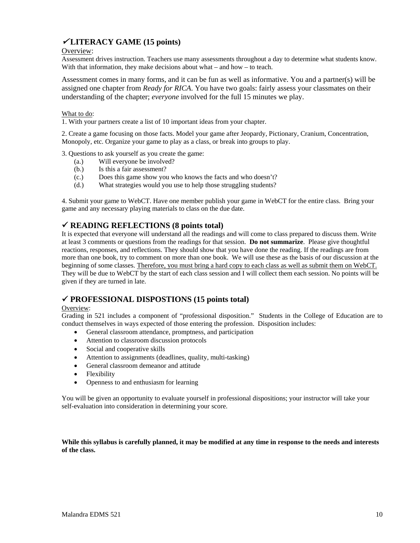## <sup>9</sup> **LITERACY GAME (15 points)**

## Overview:

Assessment drives instruction. Teachers use many assessments throughout a day to determine what students know. With that information, they make decisions about what – and how – to teach.

Assessment comes in many forms, and it can be fun as well as informative. You and a partner(s) will be assigned one chapter from *Ready for RICA*. You have two goals: fairly assess your classmates on their understanding of the chapter; *everyone* involved for the full 15 minutes we play.

## What to do:

1. With your partners create a list of 10 important ideas from your chapter.

2. Create a game focusing on those facts. Model your game after Jeopardy, Pictionary, Cranium, Concentration, Monopoly, etc. Organize your game to play as a class, or break into groups to play.

3. Questions to ask yourself as you create the game:

- (a.) Will everyone be involved?
- (b.) Is this a fair assessment?
- (c.) Does this game show you who knows the facts and who doesn't?
- (d.) What strategies would you use to help those struggling students?

4. Submit your game to WebCT. Have one member publish your game in WebCT for the entire class. Bring your game and any necessary playing materials to class on the due date.

## 9 **READING REFLECTIONS (8 points total)**

It is expected that everyone will understand all the readings and will come to class prepared to discuss them. Write at least 3 comments or questions from the readings for that session. **Do not summarize**. Please give thoughtful reactions, responses, and reflections. They should show that you have done the reading. If the readings are from more than one book, try to comment on more than one book. We will use these as the basis of our discussion at the beginning of some classes. Therefore, you must bring a hard copy to each class as well as submit them on WebCT. They will be due to WebCT by the start of each class session and I will collect them each session. No points will be given if they are turned in late.

## 9 **PROFESSIONAL DISPOSTIONS (15 points total)**

#### Overview:

Grading in 521 includes a component of "professional disposition." Students in the College of Education are to conduct themselves in ways expected of those entering the profession. Disposition includes:

- General classroom attendance, promptness, and participation
- Attention to classroom discussion protocols
- Social and cooperative skills
- Attention to assignments (deadlines, quality, multi-tasking)
- General classroom demeanor and attitude
- Flexibility
- Openness to and enthusiasm for learning

You will be given an opportunity to evaluate yourself in professional dispositions; your instructor will take your self-evaluation into consideration in determining your score.

## **While this syllabus is carefully planned, it may be modified at any time in response to the needs and interests of the class.**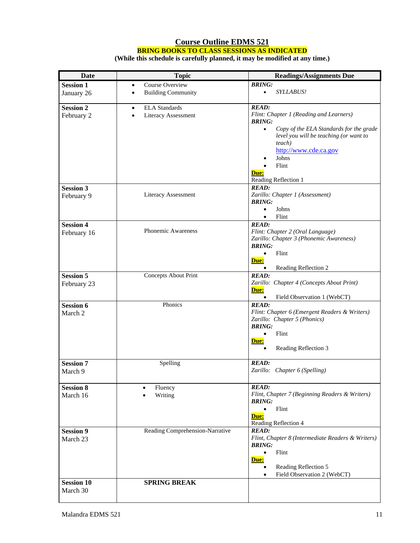## **Course Outline EDMS 521 BRING BOOKS TO CLASS SESSIONS AS INDICATED**

**(While this schedule is carefully planned, it may be modified at any time.)** 

| Date                           | <b>Topic</b>                                                                 | <b>Readings/Assignments Due</b>                                       |
|--------------------------------|------------------------------------------------------------------------------|-----------------------------------------------------------------------|
| <b>Session 1</b>               | Course Overview<br>$\bullet$                                                 | <b>BRING:</b>                                                         |
| January 26                     | <b>Building Community</b><br>$\bullet$                                       | <b>SYLLABUS!</b><br>$\bullet$                                         |
| <b>Session 2</b><br>February 2 | <b>ELA</b> Standards<br>$\bullet$<br><b>Literacy Assessment</b><br>$\bullet$ | <b>READ:</b><br>Flint: Chapter 1 (Reading and Learners)               |
|                                |                                                                              | <b>BRING:</b><br>Copy of the ELA Standards for the grade<br>$\bullet$ |
|                                |                                                                              | level you will be teaching (or want to<br>teach)                      |
|                                |                                                                              | http://www.cde.ca.gov<br>Johns                                        |
|                                |                                                                              | Flint<br>Due:                                                         |
|                                |                                                                              | Reading Reflection 1                                                  |
| <b>Session 3</b>               |                                                                              | <b>READ:</b>                                                          |
| February 9                     | <b>Literacy Assessment</b>                                                   | Zarillo: Chapter 1 (Assessment)<br><b>BRING:</b>                      |
|                                |                                                                              | Johns                                                                 |
|                                |                                                                              | Flint<br>$\bullet$                                                    |
| <b>Session 4</b>               |                                                                              | <b>READ:</b>                                                          |
| February 16                    | Phonemic Awareness                                                           | Flint: Chapter 2 (Oral Language)                                      |
|                                |                                                                              | Zarillo: Chapter 3 (Phonemic Awareness)<br><b>BRING:</b>              |
|                                |                                                                              | $\bullet$<br>Flint                                                    |
|                                |                                                                              | Due:                                                                  |
|                                |                                                                              | Reading Reflection 2                                                  |
| <b>Session 5</b>               | Concepts About Print                                                         | <b>READ:</b>                                                          |
| February 23                    |                                                                              | Zarillo: Chapter 4 (Concepts About Print)                             |
|                                |                                                                              | Due:<br>$\bullet$<br>Field Observation 1 (WebCT)                      |
| <b>Session 6</b>               | Phonics                                                                      | <b>READ:</b>                                                          |
| March 2                        |                                                                              | Flint: Chapter 6 (Emergent Readers & Writers)                         |
|                                |                                                                              | Zarillo: Chapter 5 (Phonics)                                          |
|                                |                                                                              | <b>BRING:</b>                                                         |
|                                |                                                                              | Flint                                                                 |
|                                |                                                                              | Due:<br>Reading Reflection 3                                          |
| <b>Session 7</b>               | Spelling                                                                     | <b>READ:</b>                                                          |
| March 9                        |                                                                              | Zarillo: Chapter 6 (Spelling)                                         |
| <b>Session 8</b>               | Fluency                                                                      | <b>READ:</b>                                                          |
| March 16                       | Writing                                                                      | Flint, Chapter 7 (Beginning Readers & Writers)                        |
|                                |                                                                              | <b>BRING:</b>                                                         |
|                                |                                                                              | Flint<br>$\bullet$<br>Due:                                            |
|                                |                                                                              | Reading Reflection 4                                                  |
| <b>Session 9</b>               | Reading Comprehension-Narrative                                              | <b>READ:</b>                                                          |
| March 23                       |                                                                              | Flint, Chapter 8 (Intermediate Readers & Writers)                     |
|                                |                                                                              | <b>BRING:</b>                                                         |
|                                |                                                                              | Flint<br>Due:                                                         |
|                                |                                                                              | Reading Reflection 5                                                  |
|                                |                                                                              | Field Observation 2 (WebCT)                                           |
| <b>Session 10</b><br>March 30  | <b>SPRING BREAK</b>                                                          |                                                                       |
|                                |                                                                              |                                                                       |